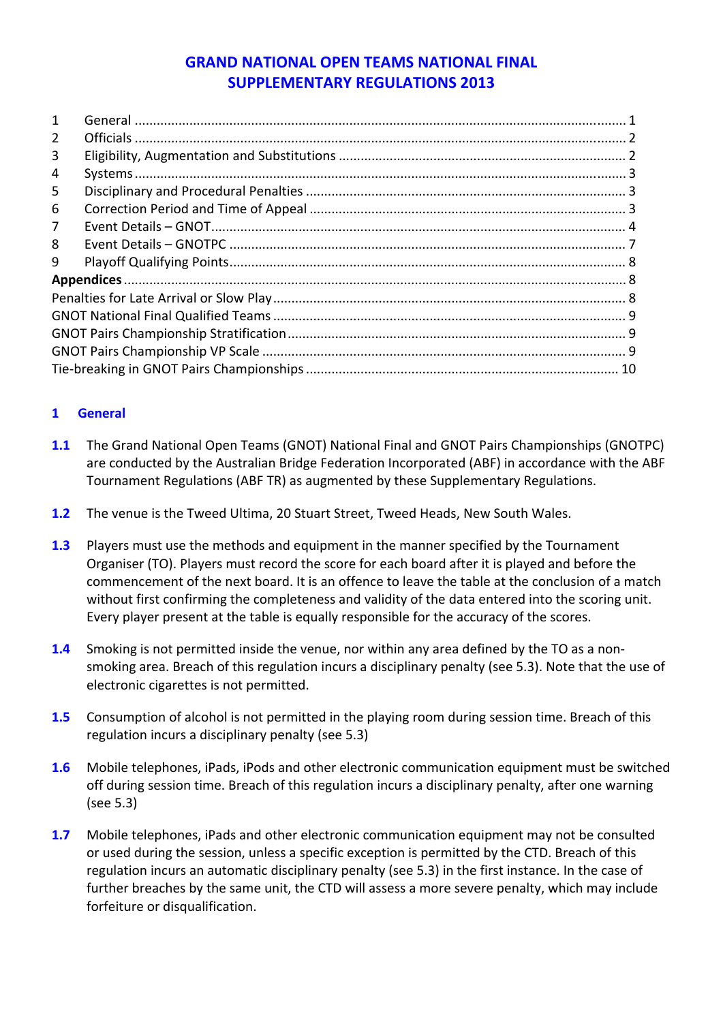# **GRAND NATIONAL OPEN TEAMS NATIONAL FINAL SUPPLEMENTARY REGULATIONS 2013**

| $\mathbf{1}$   |  |
|----------------|--|
| $\overline{2}$ |  |
| 3              |  |
| 4              |  |
| 5              |  |
| 6              |  |
| $\overline{7}$ |  |
| 8              |  |
| 9              |  |
|                |  |
|                |  |
|                |  |
|                |  |
|                |  |
|                |  |

# <span id="page-0-0"></span>**1 General**

- **1.1** The Grand National Open Teams (GNOT) National Final and GNOT Pairs Championships (GNOTPC) are conducted by the Australian Bridge Federation Incorporated (ABF) in accordance with the ABF Tournament Regulations (ABF TR) as augmented by these Supplementary Regulations.
- **1.2** The venue is the Tweed Ultima, 20 Stuart Street, Tweed Heads, New South Wales.
- **1.3** Players must use the methods and equipment in the manner specified by the Tournament Organiser (TO). Players must record the score for each board after it is played and before the commencement of the next board. It is an offence to leave the table at the conclusion of a match without first confirming the completeness and validity of the data entered into the scoring unit. Every player present at the table is equally responsible for the accuracy of the scores.
- **1.4** Smoking is not permitted inside the venue, nor within any area defined by the TO as a non‐ smoking area. Breach of this regulation incurs a disciplinary penalty (see 5.3). Note that the use of electronic cigarettes is not permitted.
- **1.5** Consumption of alcohol is not permitted in the playing room during session time. Breach of this regulation incurs a disciplinary penalty (see 5.3)
- **1.6** Mobile telephones, iPads, iPods and other electronic communication equipment must be switched off during session time. Breach of this regulation incurs a disciplinary penalty, after one warning (see 5.3)
- **1.7** Mobile telephones, iPads and other electronic communication equipment may not be consulted or used during the session, unless a specific exception is permitted by the CTD. Breach of this regulation incurs an automatic disciplinary penalty (see 5.3) in the first instance. In the case of further breaches by the same unit, the CTD will assess a more severe penalty, which may include forfeiture or disqualification.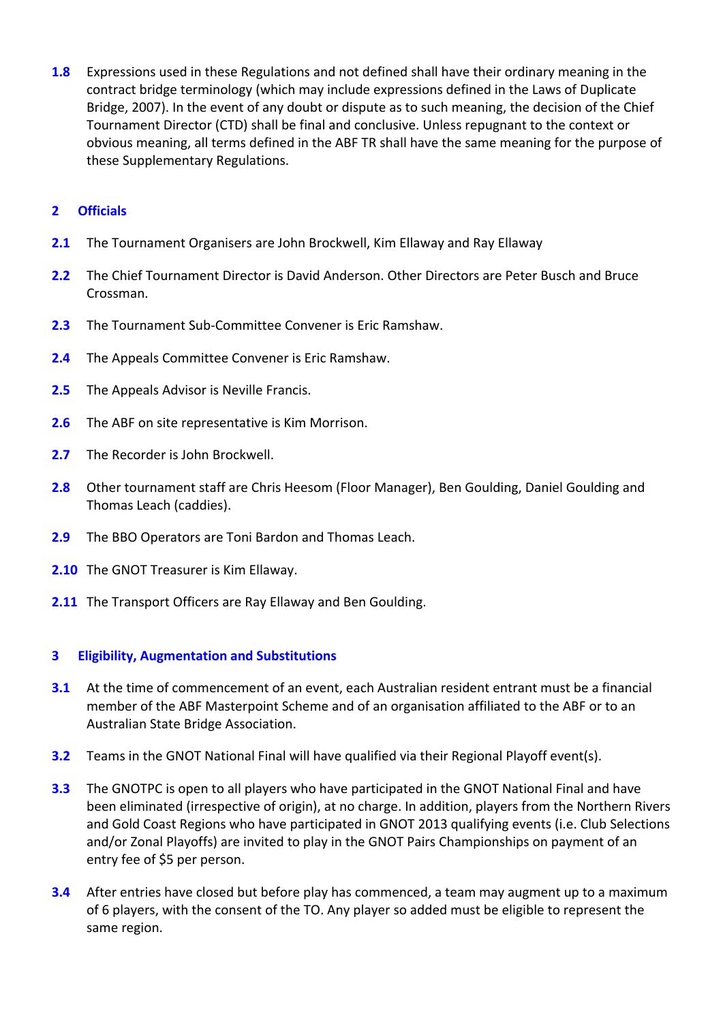**1.8** Expressions used in these Regulations and not defined shall have their ordinary meaning in the contract bridge terminology (which may include expressions defined in the Laws of Duplicate Bridge, 2007). In the event of any doubt or dispute as to such meaning, the decision of the Chief Tournament Director (CTD) shall be final and conclusive. Unless repugnant to the context or obvious meaning, all terms defined in the ABF TR shall have the same meaning for the purpose of these Supplementary Regulations.

# <span id="page-1-0"></span>**2 Officials**

- **2.1** The Tournament Organisers are John Brockwell, Kim Ellaway and Ray Ellaway
- **2.2** The Chief Tournament Director is David Anderson. Other Directors are Peter Busch and Bruce Crossman.
- **2.3** The Tournament Sub‐Committee Convener is Eric Ramshaw.
- **2.4** The Appeals Committee Convener is Eric Ramshaw.
- **2.5** The Appeals Advisor is Neville Francis.
- **2.6** The ABF on site representative is Kim Morrison.
- **2.7** The Recorder is John Brockwell.
- **2.8** Other tournament staff are Chris Heesom (Floor Manager), Ben Goulding, Daniel Goulding and Thomas Leach (caddies).
- **2.9** The BBO Operators are Toni Bardon and Thomas Leach.
- **2.10** The GNOT Treasurer is Kim Ellaway.
- **2.11** The Transport Officers are Ray Ellaway and Ben Goulding.

# <span id="page-1-1"></span>**3 Eligibility, Augmentation and Substitutions**

- **3.1** At the time of commencement of an event, each Australian resident entrant must be a financial member of the ABF Masterpoint Scheme and of an organisation affiliated to the ABF or to an Australian State Bridge Association.
- **3.2** Teams in the GNOT National Final will have qualified via their Regional Playoff event(s).
- **3.3** The GNOTPC is open to all players who have participated in the GNOT National Final and have been eliminated (irrespective of origin), at no charge. In addition, players from the Northern Rivers and Gold Coast Regions who have participated in GNOT 2013 qualifying events (i.e. Club Selections and/or Zonal Playoffs) are invited to play in the GNOT Pairs Championships on payment of an entry fee of \$5 per person.
- **3.4** After entries have closed but before play has commenced, a team may augment up to a maximum of 6 players, with the consent of the TO. Any player so added must be eligible to represent the same region.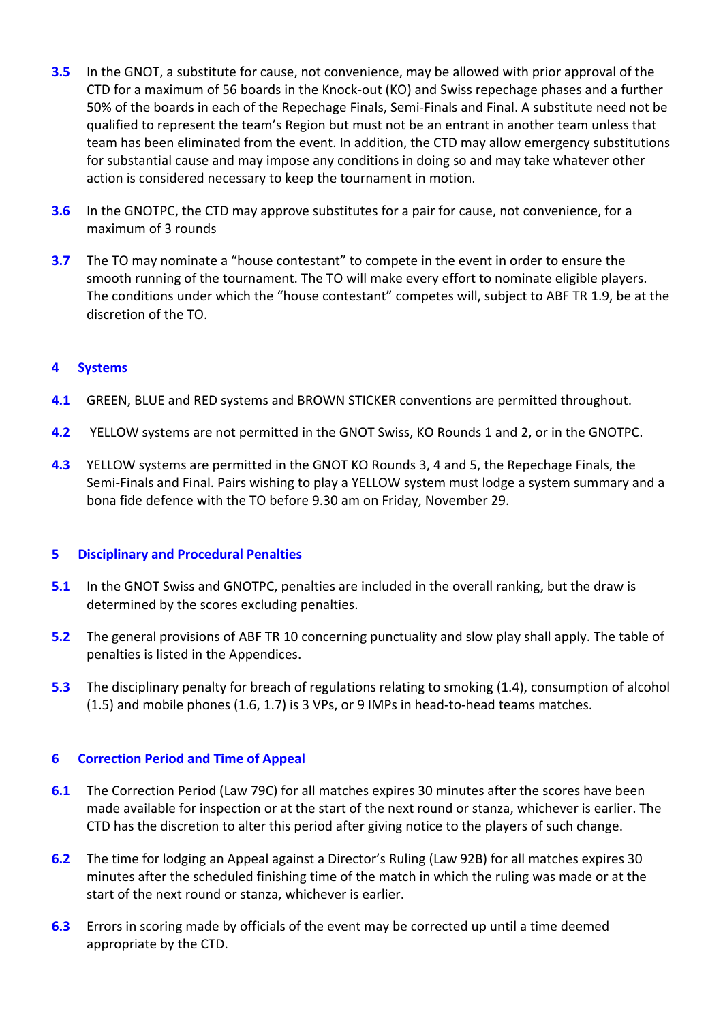- **3.5** In the GNOT, a substitute for cause, not convenience, may be allowed with prior approval of the CTD for a maximum of 56 boards in the Knock‐out (KO) and Swiss repechage phases and a further 50% of the boards in each of the Repechage Finals, Semi‐Finals and Final. A substitute need not be qualified to represent the team's Region but must not be an entrant in another team unless that team has been eliminated from the event. In addition, the CTD may allow emergency substitutions for substantial cause and may impose any conditions in doing so and may take whatever other action is considered necessary to keep the tournament in motion.
- **3.6** In the GNOTPC, the CTD may approve substitutes for a pair for cause, not convenience, for a maximum of 3 rounds
- **3.7** The TO may nominate a "house contestant" to compete in the event in order to ensure the smooth running of the tournament. The TO will make every effort to nominate eligible players. The conditions under which the "house contestant" competes will, subject to ABF TR 1.9, be at the discretion of the TO.

## <span id="page-2-0"></span>**4 Systems**

- **4.1** GREEN, BLUE and RED systems and BROWN STICKER conventions are permitted throughout.
- **4.2** YELLOW systems are not permitted in the GNOT Swiss, KO Rounds 1 and 2, or in the GNOTPC.
- **4.3** YELLOW systems are permitted in the GNOT KO Rounds 3, 4 and 5, the Repechage Finals, the Semi‐Finals and Final. Pairs wishing to play a YELLOW system must lodge a system summary and a bona fide defence with the TO before 9.30 am on Friday, November 29.

### <span id="page-2-1"></span>**5 Disciplinary and Procedural Penalties**

- **5.1** In the GNOT Swiss and GNOTPC, penalties are included in the overall ranking, but the draw is determined by the scores excluding penalties.
- **5.2** The general provisions of ABF TR 10 concerning punctuality and slow play shall apply. The table of penalties is listed in the Appendices.
- **5.3** The disciplinary penalty for breach of regulations relating to smoking (1.4), consumption of alcohol  $(1.5)$  and mobile phones  $(1.6, 1.7)$  is 3 VPs, or 9 IMPs in head-to-head teams matches.

### <span id="page-2-2"></span>**6 Correction Period and Time of Appeal**

- **6.1** The Correction Period (Law 79C) for all matches expires 30 minutes after the scores have been made available for inspection or at the start of the next round or stanza, whichever is earlier. The CTD has the discretion to alter this period after giving notice to the players of such change.
- **6.2** The time for lodging an Appeal against a Director's Ruling (Law 92B) for all matches expires 30 minutes after the scheduled finishing time of the match in which the ruling was made or at the start of the next round or stanza, whichever is earlier.
- **6.3** Errors in scoring made by officials of the event may be corrected up until a time deemed appropriate by the CTD.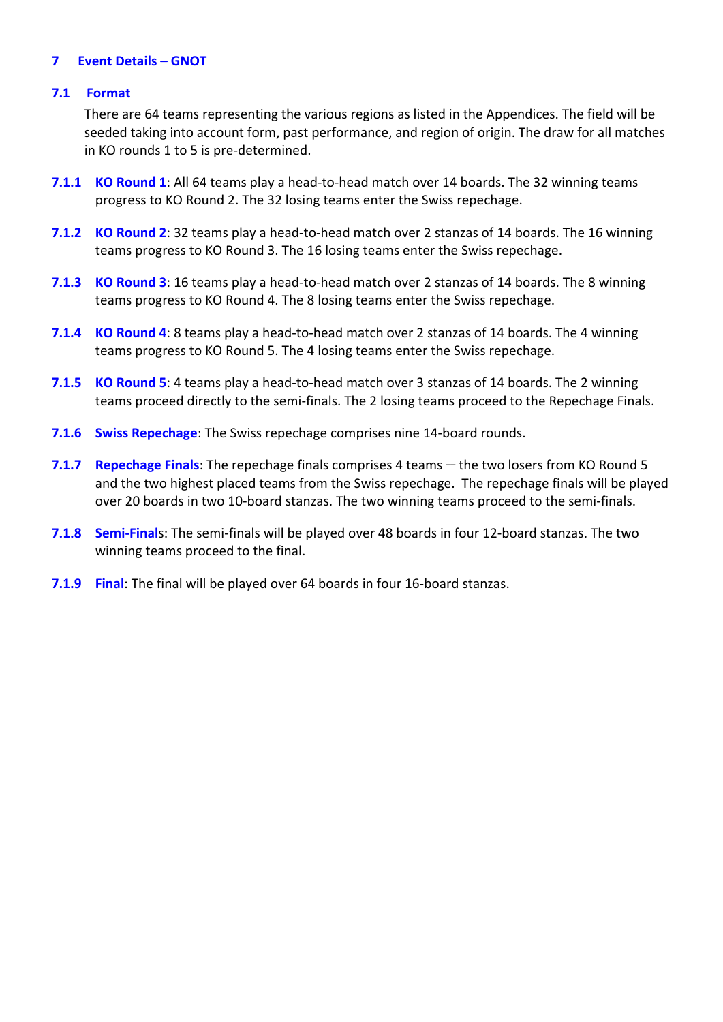#### <span id="page-3-0"></span>**7 Event Details – GNOT**

#### **7.1 Format**

There are 64 teams representing the various regions as listed in the Appendices. The field will be seeded taking into account form, past performance, and region of origin. The draw for all matches in KO rounds 1 to 5 is pre‐determined.

- **7.1.1 KO Round 1**: All 64 teams play a head‐to‐head match over 14 boards. The 32 winning teams progress to KO Round 2. The 32 losing teams enter the Swiss repechage.
- **7.1.2 KO Round 2**: 32 teams play a head‐to‐head match over 2 stanzas of 14 boards. The 16 winning teams progress to KO Round 3. The 16 losing teams enter the Swiss repechage.
- **7.1.3 KO Round 3**: 16 teams play a head‐to‐head match over 2 stanzas of 14 boards. The 8 winning teams progress to KO Round 4. The 8 losing teams enter the Swiss repechage.
- **7.1.4 KO Round 4**: 8 teams play a head‐to‐head match over 2 stanzas of 14 boards. The 4 winning teams progress to KO Round 5. The 4 losing teams enter the Swiss repechage.
- **7.1.5 KO Round 5**: 4 teams play a head‐to‐head match over 3 stanzas of 14 boards. The 2 winning teams proceed directly to the semi‐finals. The 2 losing teams proceed to the Repechage Finals.
- **7.1.6 Swiss Repechage**: The Swiss repechage comprises nine 14‐board rounds.
- **7.1.7 Repechage Finals**: The repechage finals comprises 4 teams the two losers from KO Round 5 and the two highest placed teams from the Swiss repechage. The repechage finals will be played over 20 boards in two 10-board stanzas. The two winning teams proceed to the semi-finals.
- **7.1.8 Semi‐Final**s: The semi‐finals will be played over 48 boards in four 12‐board stanzas. The two winning teams proceed to the final.
- **7.1.9 Final**: The final will be played over 64 boards in four 16‐board stanzas.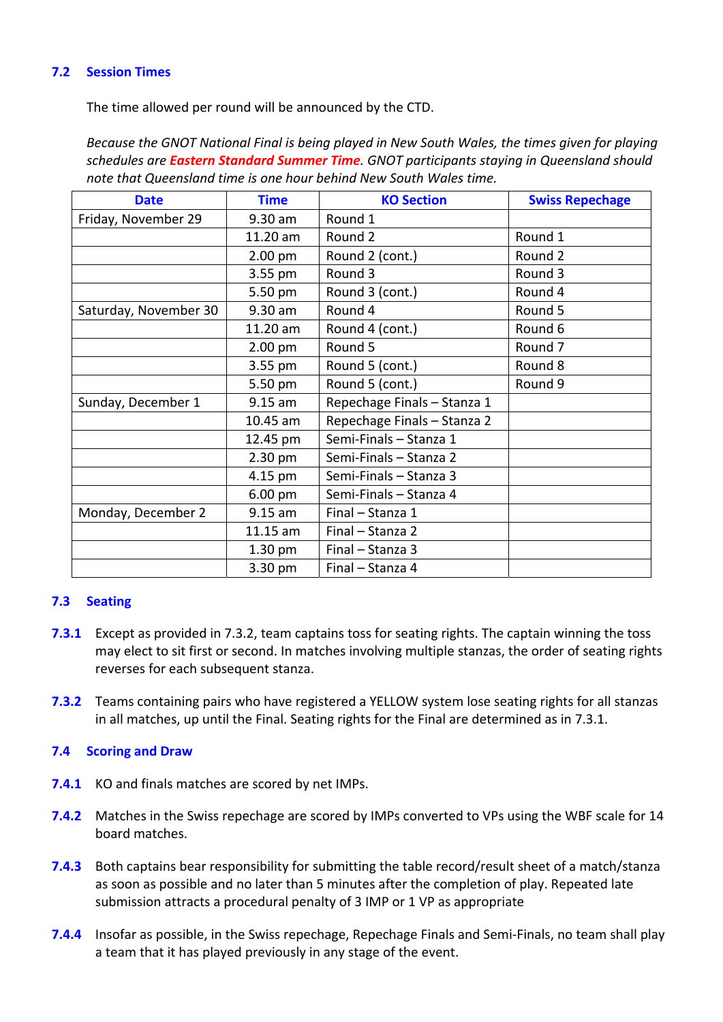# **7.2 Session Times**

The time allowed per round will be announced by the CTD.

*Because the GNOT National Final is being played in New South Wales, the times given for playing schedules are Eastern Standard Summer Time. GNOT participants staying in Queensland should note that Queensland time is one hour behind New South Wales time.*

| <b>Date</b>           | <b>Time</b>       | <b>KO Section</b>           | <b>Swiss Repechage</b> |
|-----------------------|-------------------|-----------------------------|------------------------|
| Friday, November 29   | 9.30 am           | Round 1                     |                        |
|                       | 11.20 am          | Round 2                     | Round 1                |
|                       | $2.00$ pm         | Round 2 (cont.)             | Round 2                |
|                       | 3.55 pm           | Round 3                     | Round 3                |
|                       | 5.50 pm           | Round 3 (cont.)             | Round 4                |
| Saturday, November 30 | 9.30 am           | Round 4                     | Round 5                |
|                       | 11.20 am          | Round 4 (cont.)             | Round 6                |
|                       | 2.00 pm           | Round 5                     | Round <sub>7</sub>     |
|                       | 3.55 pm           | Round 5 (cont.)             | Round 8                |
|                       | 5.50 pm           | Round 5 (cont.)             | Round 9                |
| Sunday, December 1    | $9.15$ am         | Repechage Finals - Stanza 1 |                        |
|                       | 10.45 am          | Repechage Finals - Stanza 2 |                        |
|                       | 12.45 pm          | Semi-Finals - Stanza 1      |                        |
|                       | 2.30 pm           | Semi-Finals - Stanza 2      |                        |
|                       | 4.15 pm           | Semi-Finals - Stanza 3      |                        |
|                       | $6.00 \text{ pm}$ | Semi-Finals - Stanza 4      |                        |
| Monday, December 2    | $9.15$ am         | Final - Stanza 1            |                        |
|                       | 11.15 am          | Final - Stanza 2            |                        |
|                       | $1.30$ pm         | Final - Stanza 3            |                        |
|                       | 3.30 pm           | Final - Stanza 4            |                        |

# **7.3 Seating**

- **7.3.1** Except as provided in 7.3.2, team captains toss for seating rights. The captain winning the toss may elect to sit first or second. In matches involving multiple stanzas, the order of seating rights reverses for each subsequent stanza.
- **7.3.2** Teams containing pairs who have registered a YELLOW system lose seating rights for all stanzas in all matches, up until the Final. Seating rights for the Final are determined as in 7.3.1.

### **7.4 Scoring and Draw**

- **7.4.1** KO and finals matches are scored by net IMPs.
- **7.4.2** Matches in the Swiss repechage are scored by IMPs converted to VPs using the WBF scale for 14 board matches.
- **7.4.3** Both captains bear responsibility for submitting the table record/result sheet of a match/stanza as soon as possible and no later than 5 minutes after the completion of play. Repeated late submission attracts a procedural penalty of 3 IMP or 1 VP as appropriate
- **7.4.4** Insofar as possible, in the Swiss repechage, Repechage Finals and Semi‐Finals, no team shall play a team that it has played previously in any stage of the event.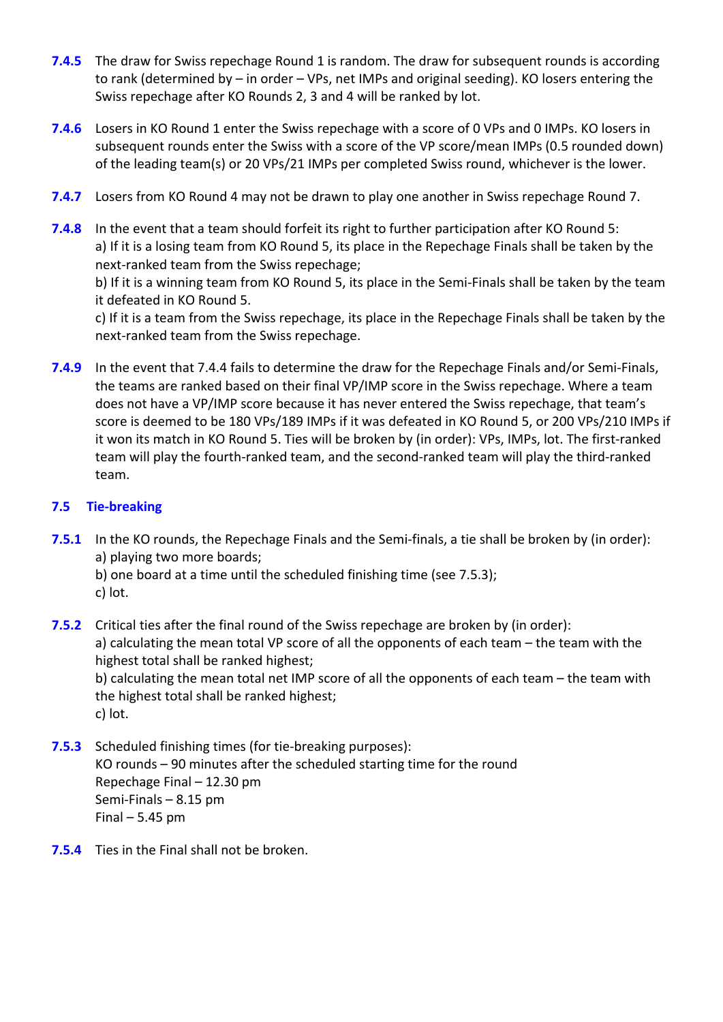- **7.4.5** The draw for Swiss repechage Round 1 is random. The draw for subsequent rounds is according to rank (determined by – in order – VPs, net IMPs and original seeding). KO losers entering the Swiss repechage after KO Rounds 2, 3 and 4 will be ranked by lot.
- **7.4.6** Losers in KO Round 1 enter the Swiss repechage with a score of 0 VPs and 0 IMPs. KO losers in subsequent rounds enter the Swiss with a score of the VP score/mean IMPs (0.5 rounded down) of the leading team(s) or 20 VPs/21 IMPs per completed Swiss round, whichever is the lower.
- **7.4.7** Losers from KO Round 4 may not be drawn to play one another in Swiss repechage Round 7.
- **7.4.8** In the event that a team should forfeit its right to further participation after KO Round 5: a) If it is a losing team from KO Round 5, its place in the Repechage Finals shall be taken by the next‐ranked team from the Swiss repechage;

b) If it is a winning team from KO Round 5, its place in the Semi-Finals shall be taken by the team it defeated in KO Round 5.

c) If it is a team from the Swiss repechage, its place in the Repechage Finals shall be taken by the next‐ranked team from the Swiss repechage.

**7.4.9** In the event that 7.4.4 fails to determine the draw for the Repechage Finals and/or Semi-Finals, the teams are ranked based on their final VP/IMP score in the Swiss repechage. Where a team does not have a VP/IMP score because it has never entered the Swiss repechage, that team's score is deemed to be 180 VPs/189 IMPs if it was defeated in KO Round 5, or 200 VPs/210 IMPs if it won its match in KO Round 5. Ties will be broken by (in order): VPs, IMPs, lot. The first-ranked team will play the fourth‐ranked team, and the second‐ranked team will play the third‐ranked team.

# **7.5 Tie‐breaking**

- **7.5.1** In the KO rounds, the Repechage Finals and the Semi-finals, a tie shall be broken by (in order): a) playing two more boards;
	- b) one board at a time until the scheduled finishing time (see 7.5.3); c) lot.
- **7.5.2** Critical ties after the final round of the Swiss repechage are broken by (in order): a) calculating the mean total VP score of all the opponents of each team – the team with the highest total shall be ranked highest; b) calculating the mean total net IMP score of all the opponents of each team – the team with the highest total shall be ranked highest; c) lot.
- **7.5.3** Scheduled finishing times (for tie-breaking purposes): KO rounds – 90 minutes after the scheduled starting time for the round Repechage Final – 12.30 pm Semi‐Finals – 8.15 pm Final  $-5.45$  pm
- **7.5.4** Ties in the Final shall not be broken.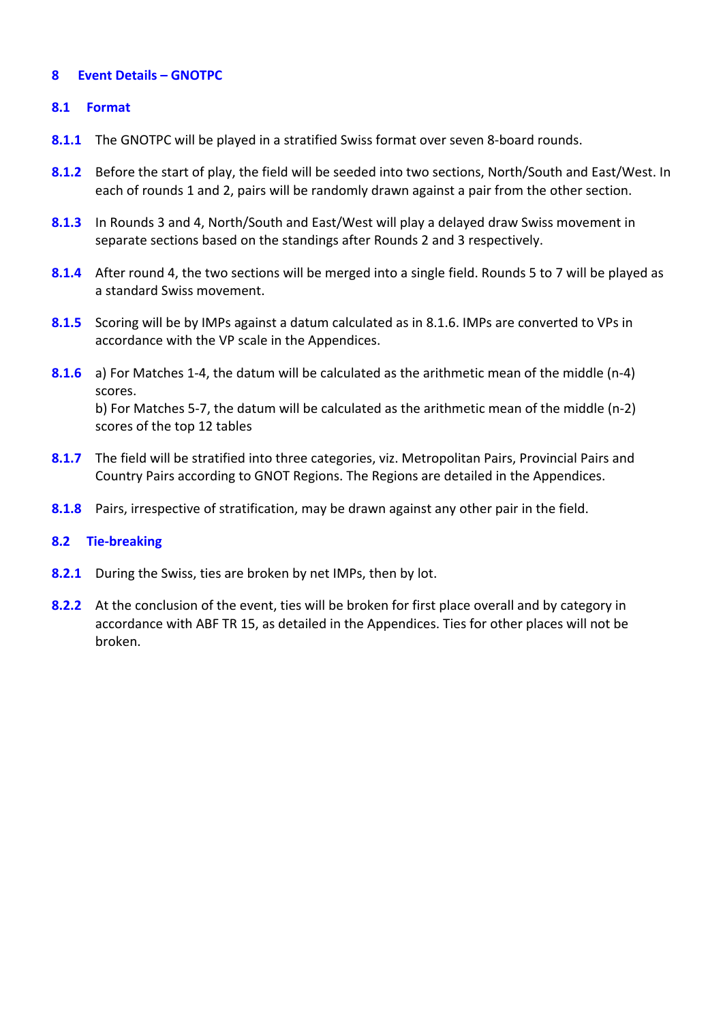## **8 Event Details – GNOTPC**

## **8.1 Format**

- **8.1.1** The GNOTPC will be played in a stratified Swiss format over seven 8-board rounds.
- **8.1.2** Before the start of play, the field will be seeded into two sections, North/South and East/West. In each of rounds 1 and 2, pairs will be randomly drawn against a pair from the other section.
- **8.1.3** In Rounds 3 and 4, North/South and East/West will play a delayed draw Swiss movement in separate sections based on the standings after Rounds 2 and 3 respectively.
- **8.1.4** After round 4, the two sections will be merged into a single field. Rounds 5 to 7 will be played as a standard Swiss movement.
- **8.1.5** Scoring will be by IMPs against a datum calculated as in 8.1.6. IMPs are converted to VPs in accordance with the VP scale in the Appendices.
- **8.1.6** a) For Matches 1-4, the datum will be calculated as the arithmetic mean of the middle (n-4) scores. b) For Matches 5‐7, the datum will be calculated as the arithmetic mean of the middle (n‐2) scores of the top 12 tables
- **8.1.7** The field will be stratified into three categories, viz. Metropolitan Pairs, Provincial Pairs and Country Pairs according to GNOT Regions. The Regions are detailed in the Appendices.
- **8.1.8** Pairs, irrespective of stratification, may be drawn against any other pair in the field.

### **8.2 Tie‐breaking**

- **8.2.1** During the Swiss, ties are broken by net IMPs, then by lot.
- <span id="page-6-0"></span>**8.2.2** At the conclusion of the event, ties will be broken for first place overall and by category in accordance with ABF TR 15, as detailed in the Appendices. Ties for other places will not be broken.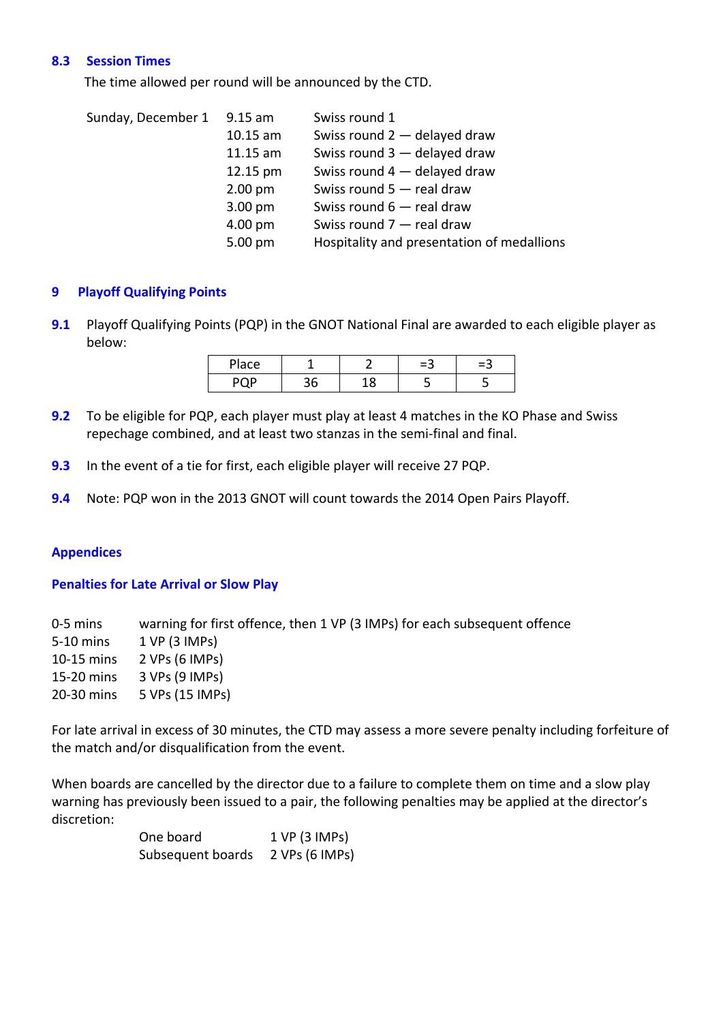## **8.3 Session Times**

The time allowed per round will be announced by the CTD.

| Sunday, December 1 | $9.15$ am         | Swiss round 1                              |
|--------------------|-------------------|--------------------------------------------|
|                    | $10.15$ am        | Swiss round 2 - delayed draw               |
|                    | $11.15$ am        | Swiss round 3 - delayed draw               |
|                    | 12.15 pm          | Swiss round 4 - delayed draw               |
|                    | $2.00 \text{ pm}$ | Swiss round $5 -$ real draw                |
|                    | $3.00 \text{ pm}$ | Swiss round $6$ – real draw                |
|                    | 4.00 pm           | Swiss round $7$ - real draw                |
|                    | 5.00 pm           | Hospitality and presentation of medallions |

## <span id="page-7-0"></span>**9 Playoff Qualifying Points**

**9.1** Playoff Qualifying Points (PQP) in the GNOT National Final are awarded to each eligible player as below:

| مءاد |  | -3 | ≔త |
|------|--|----|----|
| no n |  |    |    |

- **9.2** To be eligible for PQP, each player must play at least 4 matches in the KO Phase and Swiss repechage combined, and at least two stanzas in the semi‐final and final.
- **9.3** In the event of a tie for first, each eligible player will receive 27 PQP.
- **9.4** Note: PQP won in the 2013 GNOT will count towards the 2014 Open Pairs Playoff.

### <span id="page-7-1"></span>**Appendices**

### <span id="page-7-2"></span>**Penalties for Late Arrival or Slow Play**

‐5 mins warning for first offence, then 1 VP (3 IMPs) for each subsequent offence ‐10 mins 1 VP (3 IMPs) ‐15 mins 2 VPs (6 IMPs) ‐20 mins 3 VPs (9 IMPs) ‐30 mins 5 VPs (15 IMPs)

For late arrival in excess of 30 minutes, the CTD may assess a more severe penalty including forfeiture of the match and/or disqualification from the event.

When boards are cancelled by the director due to a failure to complete them on time and a slow play warning has previously been issued to a pair, the following penalties may be applied at the director's discretion:

| One board         | 1 VP (3 IMPs)  |
|-------------------|----------------|
| Subsequent boards | 2 VPs (6 IMPs) |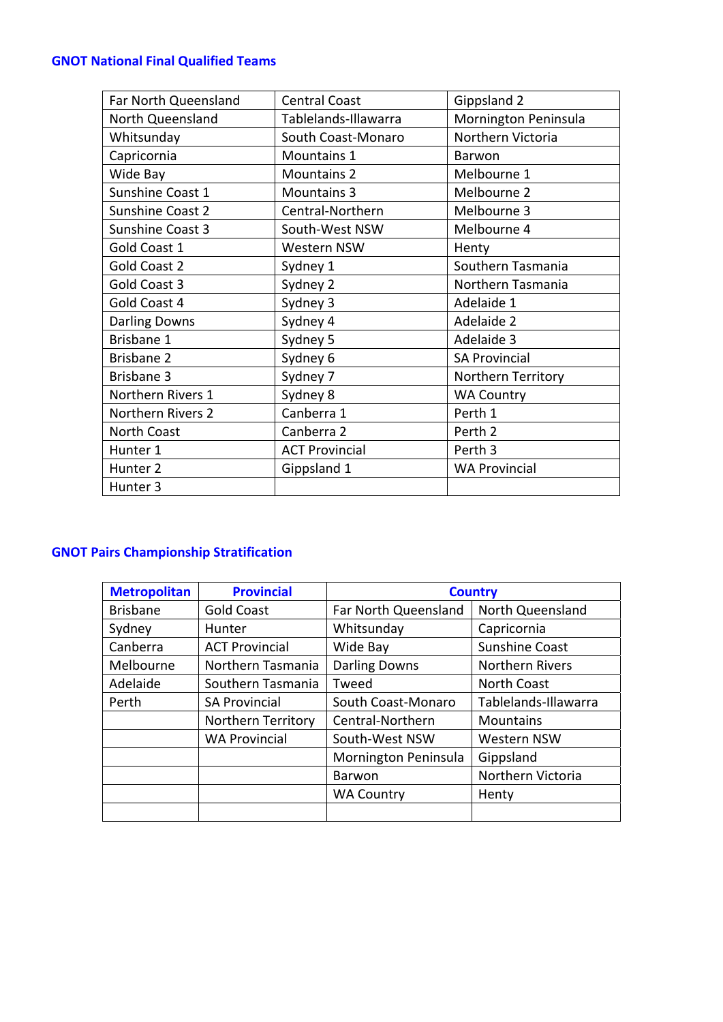# <span id="page-8-0"></span>**GNOT National Final Qualified Teams**

| Far North Queensland | <b>Central Coast</b>  | Gippsland 2          |
|----------------------|-----------------------|----------------------|
| North Queensland     | Tablelands-Illawarra  | Mornington Peninsula |
| Whitsunday           | South Coast-Monaro    | Northern Victoria    |
| Capricornia          | Mountains 1           | Barwon               |
| Wide Bay             | <b>Mountains 2</b>    | Melbourne 1          |
| Sunshine Coast 1     | <b>Mountains 3</b>    | Melbourne 2          |
| Sunshine Coast 2     | Central-Northern      | Melbourne 3          |
| Sunshine Coast 3     | South-West NSW        | Melbourne 4          |
| Gold Coast 1         | Western NSW           | Henty                |
| Gold Coast 2         | Sydney 1              | Southern Tasmania    |
| Gold Coast 3         | Sydney 2              | Northern Tasmania    |
| Gold Coast 4         | Sydney 3              | Adelaide 1           |
| <b>Darling Downs</b> | Sydney 4              | Adelaide 2           |
| Brisbane 1           | Sydney 5              | Adelaide 3           |
| Brisbane 2           | Sydney 6              | <b>SA Provincial</b> |
| <b>Brisbane 3</b>    | Sydney 7              | Northern Territory   |
| Northern Rivers 1    | Sydney 8              | <b>WA Country</b>    |
| Northern Rivers 2    | Canberra 1            | Perth 1              |
| North Coast          | Canberra 2            | Perth 2              |
| Hunter 1             | <b>ACT Provincial</b> | Perth 3              |
| Hunter <sub>2</sub>  | Gippsland 1           | <b>WA Provincial</b> |
| Hunter <sub>3</sub>  |                       |                      |

# <span id="page-8-1"></span>**GNOT Pairs Championship Stratification**

| <b>Metropolitan</b>                  | <b>Provincial</b>         | <b>Country</b>       |                        |  |
|--------------------------------------|---------------------------|----------------------|------------------------|--|
| <b>Brisbane</b><br><b>Gold Coast</b> |                           | Far North Queensland | North Queensland       |  |
| Sydney                               | Hunter                    | Whitsunday           | Capricornia            |  |
| Canberra                             | <b>ACT Provincial</b>     | Wide Bay             | <b>Sunshine Coast</b>  |  |
| Melbourne                            | Northern Tasmania         | <b>Darling Downs</b> | <b>Northern Rivers</b> |  |
| Adelaide                             | Southern Tasmania         | Tweed                | <b>North Coast</b>     |  |
| Perth                                | <b>SA Provincial</b>      | South Coast-Monaro   | Tablelands-Illawarra   |  |
|                                      | <b>Northern Territory</b> | Central-Northern     | <b>Mountains</b>       |  |
|                                      | <b>WA Provincial</b>      | South-West NSW       | <b>Western NSW</b>     |  |
|                                      |                           | Mornington Peninsula | Gippsland              |  |
|                                      |                           | Barwon               | Northern Victoria      |  |
|                                      |                           | <b>WA Country</b>    | Henty                  |  |
|                                      |                           |                      |                        |  |